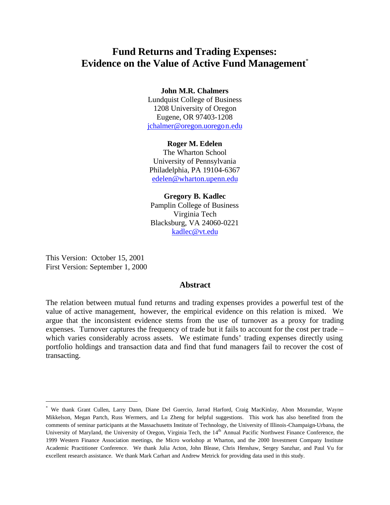# **Fund Returns and Trading Expenses: Evidence on the Value of Active Fund Management**\*

# **John M.R. Chalmers**

Lundquist College of Business 1208 University of Oregon Eugene, OR 97403-1208 jchalmer@oregon.uoregon.edu

# **Roger M. Edelen**

The Wharton School University of Pennsylvania Philadelphia, PA 19104-6367 edelen@wharton.upenn.edu

# **Gregory B. Kadlec**

Pamplin College of Business Virginia Tech Blacksburg, VA 24060-0221 kadlec@vt.edu

This Version: October 15, 2001 First Version: September 1, 2000

 $\overline{a}$ 

# **Abstract**

The relation between mutual fund returns and trading expenses provides a powerful test of the value of active management, however, the empirical evidence on this relation is mixed. We argue that the inconsistent evidence stems from the use of turnover as a proxy for trading expenses. Turnover captures the frequency of trade but it fails to account for the cost per trade – which varies considerably across assets. We estimate funds' trading expenses directly using portfolio holdings and transaction data and find that fund managers fail to recover the cost of transacting.

<sup>\*</sup> We thank Grant Cullen, Larry Dann, Diane Del Guercio, Jarrad Harford, Craig MacKinlay, Abon Mozumdar, Wayne Mikkelson, Megan Partch, Russ Wermers, and Lu Zheng for helpful suggestions. This work has also benefited from the comments of seminar participants at the Massachusetts Institute of Technology, the University of Illinois-Champaign-Urbana, the University of Maryland, the University of Oregon, Virginia Tech, the 14<sup>th</sup> Annual Pacific Northwest Finance Conference, the 1999 Western Finance Association meetings, the Micro workshop at Wharton, and the 2000 Investment Company Institute Academic Practitioner Conference. We thank Julia Acton, John Blease, Chris Henshaw, Sergey Sanzhar, and Paul Vu for excellent research assistance. We thank Mark Carhart and Andrew Metrick for providing data used in this study.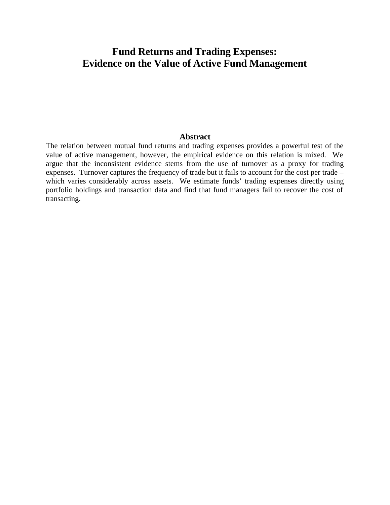# **Fund Returns and Trading Expenses: Evidence on the Value of Active Fund Management**

# **Abstract**

The relation between mutual fund returns and trading expenses provides a powerful test of the value of active management, however, the empirical evidence on this relation is mixed. We argue that the inconsistent evidence stems from the use of turnover as a proxy for trading expenses. Turnover captures the frequency of trade but it fails to account for the cost per trade – which varies considerably across assets. We estimate funds' trading expenses directly using portfolio holdings and transaction data and find that fund managers fail to recover the cost of transacting.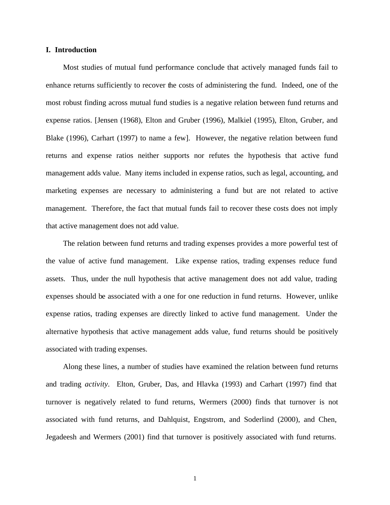# **I. Introduction**

Most studies of mutual fund performance conclude that actively managed funds fail to enhance returns sufficiently to recover the costs of administering the fund. Indeed, one of the most robust finding across mutual fund studies is a negative relation between fund returns and expense ratios. [Jensen (1968), Elton and Gruber (1996), Malkiel (1995), Elton, Gruber, and Blake (1996), Carhart (1997) to name a few]. However, the negative relation between fund returns and expense ratios neither supports nor refutes the hypothesis that active fund management adds value. Many items included in expense ratios, such as legal, accounting, and marketing expenses are necessary to administering a fund but are not related to active management. Therefore, the fact that mutual funds fail to recover these costs does not imply that active management does not add value.

The relation between fund returns and trading expenses provides a more powerful test of the value of active fund management. Like expense ratios, trading expenses reduce fund assets. Thus, under the null hypothesis that active management does not add value, trading expenses should be associated with a one for one reduction in fund returns. However, unlike expense ratios, trading expenses are directly linked to active fund management. Under the alternative hypothesis that active management adds value, fund returns should be positively associated with trading expenses.

Along these lines, a number of studies have examined the relation between fund returns and trading *activity.* Elton, Gruber, Das, and Hlavka (1993) and Carhart (1997) find that turnover is negatively related to fund returns, Wermers (2000) finds that turnover is not associated with fund returns, and Dahlquist, Engstrom, and Soderlind (2000), and Chen, Jegadeesh and Wermers (2001) find that turnover is positively associated with fund returns.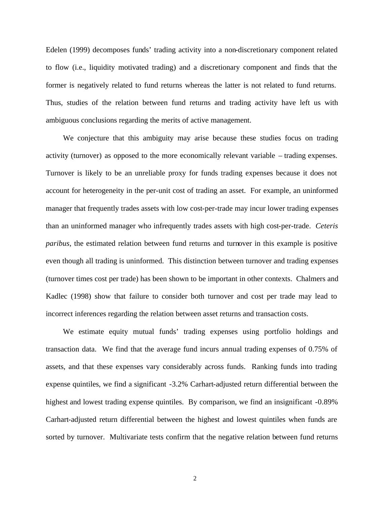Edelen (1999) decomposes funds' trading activity into a non-discretionary component related to flow (i.e., liquidity motivated trading) and a discretionary component and finds that the former is negatively related to fund returns whereas the latter is not related to fund returns. Thus, studies of the relation between fund returns and trading activity have left us with ambiguous conclusions regarding the merits of active management.

We conjecture that this ambiguity may arise because these studies focus on trading activity (turnover) as opposed to the more economically relevant variable – trading expenses. Turnover is likely to be an unreliable proxy for funds trading expenses because it does not account for heterogeneity in the per-unit cost of trading an asset. For example, an uninformed manager that frequently trades assets with low cost-per-trade may incur lower trading expenses than an uninformed manager who infrequently trades assets with high cost-per-trade. *Ceteris paribus*, the estimated relation between fund returns and turnover in this example is positive even though all trading is uninformed. This distinction between turnover and trading expenses (turnover times cost per trade) has been shown to be important in other contexts. Chalmers and Kadlec (1998) show that failure to consider both turnover and cost per trade may lead to incorrect inferences regarding the relation between asset returns and transaction costs.

We estimate equity mutual funds' trading expenses using portfolio holdings and transaction data. We find that the average fund incurs annual trading expenses of 0.75% of assets, and that these expenses vary considerably across funds. Ranking funds into trading expense quintiles, we find a significant -3.2% Carhart-adjusted return differential between the highest and lowest trading expense quintiles. By comparison, we find an insignificant -0.89% Carhart-adjusted return differential between the highest and lowest quintiles when funds are sorted by turnover. Multivariate tests confirm that the negative relation between fund returns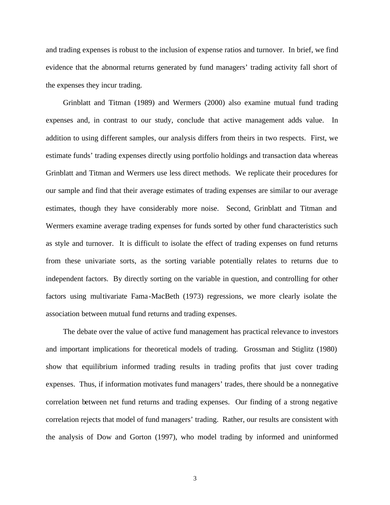and trading expenses is robust to the inclusion of expense ratios and turnover. In brief, we find evidence that the abnormal returns generated by fund managers' trading activity fall short of the expenses they incur trading.

Grinblatt and Titman (1989) and Wermers (2000) also examine mutual fund trading expenses and, in contrast to our study, conclude that active management adds value. In addition to using different samples, our analysis differs from theirs in two respects. First, we estimate funds' trading expenses directly using portfolio holdings and transaction data whereas Grinblatt and Titman and Wermers use less direct methods. We replicate their procedures for our sample and find that their average estimates of trading expenses are similar to our average estimates, though they have considerably more noise. Second, Grinblatt and Titman and Wermers examine average trading expenses for funds sorted by other fund characteristics such as style and turnover. It is difficult to isolate the effect of trading expenses on fund returns from these univariate sorts, as the sorting variable potentially relates to returns due to independent factors. By directly sorting on the variable in question, and controlling for other factors using multivariate Fama-MacBeth (1973) regressions, we more clearly isolate the association between mutual fund returns and trading expenses.

The debate over the value of active fund management has practical relevance to investors and important implications for theoretical models of trading. Grossman and Stiglitz (1980) show that equilibrium informed trading results in trading profits that just cover trading expenses. Thus, if information motivates fund managers' trades, there should be a nonnegative correlation between net fund returns and trading expenses. Our finding of a strong negative correlation rejects that model of fund managers' trading. Rather, our results are consistent with the analysis of Dow and Gorton (1997), who model trading by informed and uninformed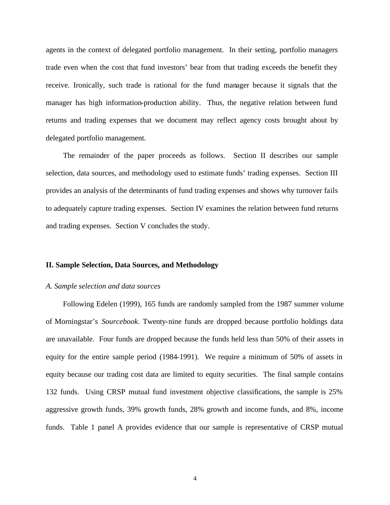agents in the context of delegated portfolio management. In their setting, portfolio managers trade even when the cost that fund investors' bear from that trading exceeds the benefit they receive. Ironically, such trade is rational for the fund manager because it signals that the manager has high information-production ability. Thus, the negative relation between fund returns and trading expenses that we document may reflect agency costs brought about by delegated portfolio management.

The remainder of the paper proceeds as follows. Section II describes our sample selection, data sources, and methodology used to estimate funds' trading expenses. Section III provides an analysis of the determinants of fund trading expenses and shows why turnover fails to adequately capture trading expenses. Section IV examines the relation between fund returns and trading expenses. Section V concludes the study.

# **II. Sample Selection, Data Sources, and Methodology**

#### *A. Sample selection and data sources*

Following Edelen (1999), 165 funds are randomly sampled from the 1987 summer volume of Morningstar's *Sourcebook*. Twenty-nine funds are dropped because portfolio holdings data are unavailable. Four funds are dropped because the funds held less than 50% of their assets in equity for the entire sample period (1984-1991). We require a minimum of 50% of assets in equity because our trading cost data are limited to equity securities. The final sample contains 132 funds. Using CRSP mutual fund investment objective classifications, the sample is 25% aggressive growth funds, 39% growth funds, 28% growth and income funds, and 8%, income funds. Table 1 panel A provides evidence that our sample is representative of CRSP mutual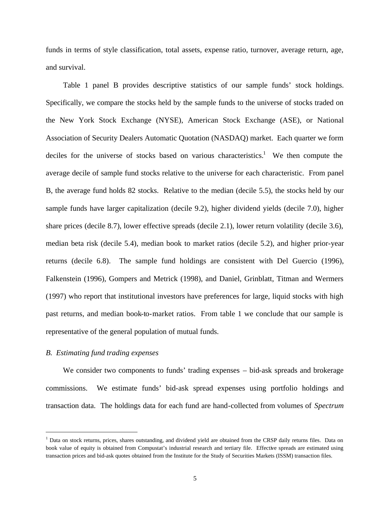funds in terms of style classification, total assets, expense ratio, turnover, average return, age, and survival.

Table 1 panel B provides descriptive statistics of our sample funds' stock holdings. Specifically, we compare the stocks held by the sample funds to the universe of stocks traded on the New York Stock Exchange (NYSE), American Stock Exchange (ASE), or National Association of Security Dealers Automatic Quotation (NASDAQ) market. Each quarter we form deciles for the universe of stocks based on various characteristics.<sup>1</sup> We then compute the average decile of sample fund stocks relative to the universe for each characteristic. From panel B, the average fund holds 82 stocks. Relative to the median (decile 5.5), the stocks held by our sample funds have larger capitalization (decile 9.2), higher dividend yields (decile 7.0), higher share prices (decile 8.7), lower effective spreads (decile 2.1), lower return volatility (decile 3.6), median beta risk (decile 5.4), median book to market ratios (decile 5.2), and higher prior-year returns (decile 6.8). The sample fund holdings are consistent with Del Guercio (1996), Falkenstein (1996), Gompers and Metrick (1998), and Daniel, Grinblatt, Titman and Wermers (1997) who report that institutional investors have preferences for large, liquid stocks with high past returns, and median book-to-market ratios. From table 1 we conclude that our sample is representative of the general population of mutual funds.

## *B. Estimating fund trading expenses*

 $\overline{a}$ 

We consider two components to funds' trading expenses – bid-ask spreads and brokerage commissions. We estimate funds' bid-ask spread expenses using portfolio holdings and transaction data. The holdings data for each fund are hand-collected from volumes of *Spectrum* 

<sup>&</sup>lt;sup>1</sup> Data on stock returns, prices, shares outstanding, and dividend yield are obtained from the CRSP daily returns files. Data on book value of equity is obtained from Compustat's industrial research and tertiary file. Effective spreads are estimated using transaction prices and bid-ask quotes obtained from the Institute for the Study of Securities Markets (ISSM) transaction files.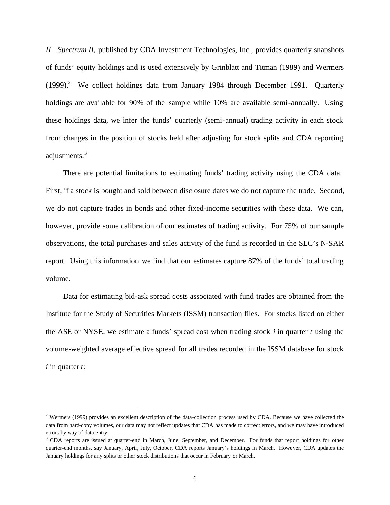*II*. *Spectrum II,* published by CDA Investment Technologies, Inc., provides quarterly snapshots of funds' equity holdings and is used extensively by Grinblatt and Titman (1989) and Wermers  $(1999).$ <sup>2</sup> We collect holdings data from January 1984 through December 1991. Quarterly holdings are available for 90% of the sample while 10% are available semi-annually. Using these holdings data, we infer the funds' quarterly (semi-annual) trading activity in each stock from changes in the position of stocks held after adjusting for stock splits and CDA reporting adjustments.<sup>3</sup>

There are potential limitations to estimating funds' trading activity using the CDA data. First, if a stock is bought and sold between disclosure dates we do not capture the trade. Second, we do not capture trades in bonds and other fixed-income securities with these data. We can, however, provide some calibration of our estimates of trading activity. For 75% of our sample observations, the total purchases and sales activity of the fund is recorded in the SEC's N-SAR report. Using this information we find that our estimates capture 87% of the funds' total trading volume.

Data for estimating bid-ask spread costs associated with fund trades are obtained from the Institute for the Study of Securities Markets (ISSM) transaction files. For stocks listed on either the ASE or NYSE, we estimate a funds' spread cost when trading stock *i* in quarter *t* using the volume-weighted average effective spread for all trades recorded in the ISSM database for stock *i* in quarter *t*:

 $\overline{a}$ 

 $2$  Wermers (1999) provides an excellent description of the data-collection process used by CDA. Because we have collected the data from hard-copy volumes, our data may not reflect updates that CDA has made to correct errors, and we may have introduced errors by way of data entry.

<sup>&</sup>lt;sup>3</sup> CDA reports are issued at quarter-end in March, June, September, and December. For funds that report holdings for other quarter-end months, say January, April, July, October, CDA reports January's holdings in March. However, CDA updates the January holdings for any splits or other stock distributions that occur in February or March.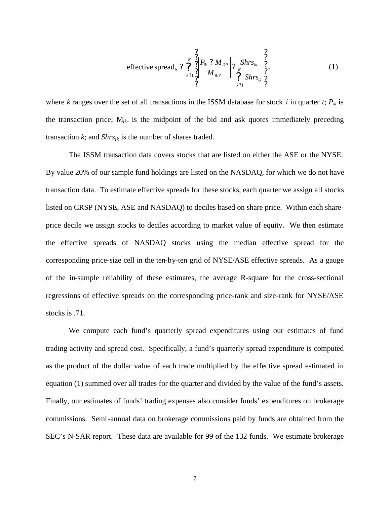? ? ? ? ? ? ? ? ? ? ? ? ? ? ? ? ? ? ? ? ? *K k K k ik ik ik ik ik it Shrs Shrs M P M* 1 1 effective spread , (1)

where *k* ranges over the set of all transactions in the ISSM database for stock *i* in quarter *t*;  $P_{ik}$  is the transaction price; M*ik-*is the midpoint of the bid and ask quotes immediately preceding transaction  $k$ ; and  $Shrs_{ik}$  is the number of shares traded.

The ISSM transaction data covers stocks that are listed on either the ASE or the NYSE. By value 20% of our sample fund holdings are listed on the NASDAQ, for which we do not have transaction data. To estimate effective spreads for these stocks, each quarter we assign all stocks listed on CRSP (NYSE, ASE and NASDAQ) to deciles based on share price. Within each shareprice decile we assign stocks to deciles according to market value of equity. We then estimate the effective spreads of NASDAQ stocks using the median effective spread for the corresponding price-size cell in the ten-by-ten grid of NYSE/ASE effective spreads. As a gauge of the in-sample reliability of these estimates, the average R-square for the cross-sectional regressions of effective spreads on the corresponding price-rank and size-rank for NYSE/ASE stocks is .71.

We compute each fund's quarterly spread expenditures using our estimates of fund trading activity and spread cost. Specifically, a fund's quarterly spread expenditure is computed as the product of the dollar value of each trade multiplied by the effective spread estimated in equation (1) summed over all trades for the quarter and divided by the value of the fund's assets. Finally, our estimates of funds' trading expenses also consider funds' expenditures on brokerage commissions. Semi-annual data on brokerage commissions paid by funds are obtained from the SEC's N-SAR report. These data are available for 99 of the 132 funds. We estimate brokerage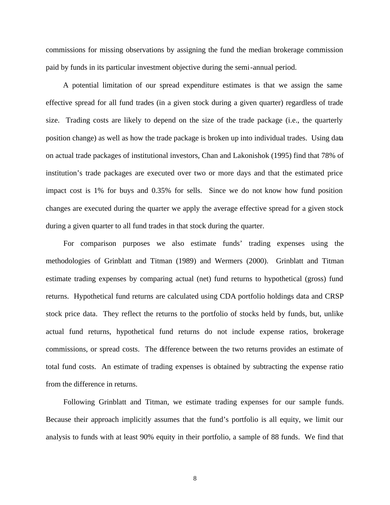commissions for missing observations by assigning the fund the median brokerage commission paid by funds in its particular investment objective during the semi-annual period.

A potential limitation of our spread expenditure estimates is that we assign the same effective spread for all fund trades (in a given stock during a given quarter) regardless of trade size. Trading costs are likely to depend on the size of the trade package (i.e., the quarterly position change) as well as how the trade package is broken up into individual trades. Using data on actual trade packages of institutional investors, Chan and Lakonishok (1995) find that 78% of institution's trade packages are executed over two or more days and that the estimated price impact cost is 1% for buys and 0.35% for sells. Since we do not know how fund position changes are executed during the quarter we apply the average effective spread for a given stock during a given quarter to all fund trades in that stock during the quarter.

For comparison purposes we also estimate funds' trading expenses using the methodologies of Grinblatt and Titman (1989) and Wermers (2000). Grinblatt and Titman estimate trading expenses by comparing actual (net) fund returns to hypothetical (gross) fund returns. Hypothetical fund returns are calculated using CDA portfolio holdings data and CRSP stock price data. They reflect the returns to the portfolio of stocks held by funds, but, unlike actual fund returns, hypothetical fund returns do not include expense ratios, brokerage commissions, or spread costs. The difference between the two returns provides an estimate of total fund costs. An estimate of trading expenses is obtained by subtracting the expense ratio from the difference in returns.

Following Grinblatt and Titman, we estimate trading expenses for our sample funds. Because their approach implicitly assumes that the fund's portfolio is all equity, we limit our analysis to funds with at least 90% equity in their portfolio, a sample of 88 funds. We find that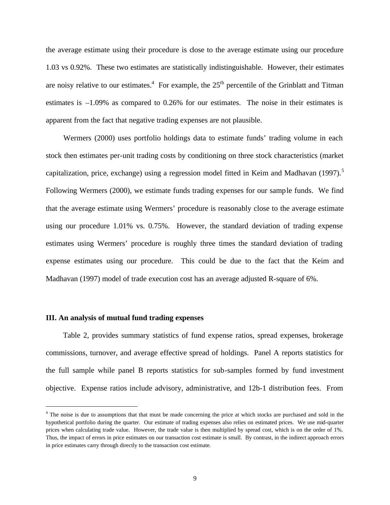the average estimate using their procedure is close to the average estimate using our procedure 1.03 vs 0.92%. These two estimates are statistically indistinguishable. However, their estimates are noisy relative to our estimates.<sup>4</sup> For example, the  $25<sup>th</sup>$  percentile of the Grinblatt and Titman estimates is –1.09% as compared to 0.26% for our estimates. The noise in their estimates is apparent from the fact that negative trading expenses are not plausible.

Wermers (2000) uses portfolio holdings data to estimate funds' trading volume in each stock then estimates per-unit trading costs by conditioning on three stock characteristics (market capitalization, price, exchange) using a regression model fitted in Keim and Madhavan  $(1997)$ .<sup>5</sup> Following Wermers (2000), we estimate funds trading expenses for our sample funds. We find that the average estimate using Wermers' procedure is reasonably close to the average estimate using our procedure 1.01% vs. 0.75%. However, the standard deviation of trading expense estimates using Wermers' procedure is roughly three times the standard deviation of trading expense estimates using our procedure. This could be due to the fact that the Keim and Madhavan (1997) model of trade execution cost has an average adjusted R-square of 6%.

# **III. An analysis of mutual fund trading expenses**

1

Table 2, provides summary statistics of fund expense ratios, spread expenses, brokerage commissions, turnover, and average effective spread of holdings. Panel A reports statistics for the full sample while panel B reports statistics for sub-samples formed by fund investment objective. Expense ratios include advisory, administrative, and 12b-1 distribution fees. From

<sup>&</sup>lt;sup>4</sup> The noise is due to assumptions that that must be made concerning the price at which stocks are purchased and sold in the hypothetical portfolio during the quarter. Our estimate of trading expenses also relies on estimated prices. We use mid-quarter prices when calculating trade value. However, the trade value is then multiplied by spread cost, which is on the order of 1%. Thus, the impact of errors in price estimates on our transaction cost estimate is small. By contrast, in the indirect approach errors in price estimates carry through directly to the transaction cost estimate.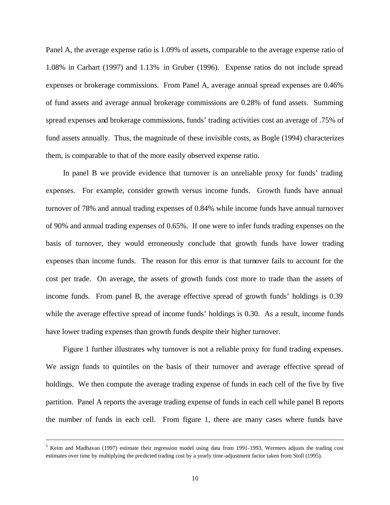Panel A, the average expense ratio is 1.09% of assets, comparable to the average expense ratio of 1.08% in Carhart (1997) and 1.13% in Gruber (1996). Expense ratios do not include spread expenses or brokerage commissions. From Panel A, average annual spread expenses are 0.46% of fund assets and average annual brokerage commissions are 0.28% of fund assets. Summing spread expenses and brokerage commissions, funds' trading activities cost an average of .75% of fund assets annually. Thus, the magnitude of these invisible costs, as Bogle (1994) characterizes them, is comparable to that of the more easily observed expense ratio.

In panel B we provide evidence that turnover is an unreliable proxy for funds' trading expenses. For example, consider growth versus income funds. Growth funds have annual turnover of 78% and annual trading expenses of 0.84% while income funds have annual turnover of 90% and annual trading expenses of 0.65%. If one were to infer funds trading expenses on the basis of turnover, they would erroneously conclude that growth funds have lower trading expenses than income funds. The reason for this error is that turnover fails to account for the cost per trade. On average, the assets of growth funds cost more to trade than the assets of income funds. From panel B, the average effective spread of growth funds' holdings is 0.39 while the average effective spread of income funds' holdings is 0.30. As a result, income funds have lower trading expenses than growth funds despite their higher turnover.

Figure 1 further illustrates why turnover is not a reliable proxy for fund trading expenses. We assign funds to quintiles on the basis of their turnover and average effective spread of holdings. We then compute the average trading expense of funds in each cell of the five by five partition. Panel A reports the average trading expense of funds in each cell while panel B reports the number of funds in each cell. From figure 1, there are many cases where funds have

 $<sup>5</sup>$  Keim and Madhavan (1997) estimate their regression model using data from 1991-1993, Wermers adjusts the trading cost</sup> estimates over time by multiplying the predicted trading cost by a yearly time-adjustment factor taken from Stoll (1995).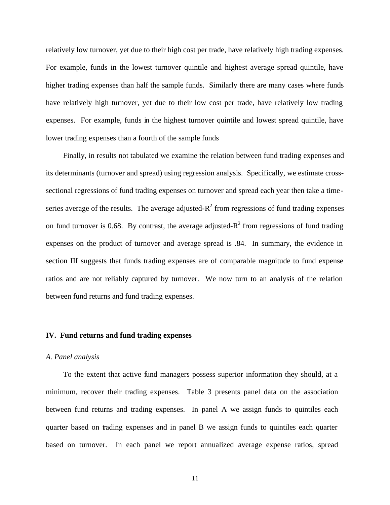relatively low turnover, yet due to their high cost per trade, have relatively high trading expenses. For example, funds in the lowest turnover quintile and highest average spread quintile, have higher trading expenses than half the sample funds. Similarly there are many cases where funds have relatively high turnover, yet due to their low cost per trade, have relatively low trading expenses. For example, funds in the highest turnover quintile and lowest spread quintile, have lower trading expenses than a fourth of the sample funds

Finally, in results not tabulated we examine the relation between fund trading expenses and its determinants (turnover and spread) using regression analysis. Specifically, we estimate crosssectional regressions of fund trading expenses on turnover and spread each year then take a timeseries average of the results. The average adjusted- $R^2$  from regressions of fund trading expenses on fund turnover is 0.68. By contrast, the average adjusted- $R^2$  from regressions of fund trading expenses on the product of turnover and average spread is .84. In summary, the evidence in section III suggests that funds trading expenses are of comparable magnitude to fund expense ratios and are not reliably captured by turnover. We now turn to an analysis of the relation between fund returns and fund trading expenses.

## **IV. Fund returns and fund trading expenses**

#### *A. Panel analysis*

To the extent that active fund managers possess superior information they should, at a minimum, recover their trading expenses. Table 3 presents panel data on the association between fund returns and trading expenses. In panel A we assign funds to quintiles each quarter based on trading expenses and in panel B we assign funds to quintiles each quarter based on turnover. In each panel we report annualized average expense ratios, spread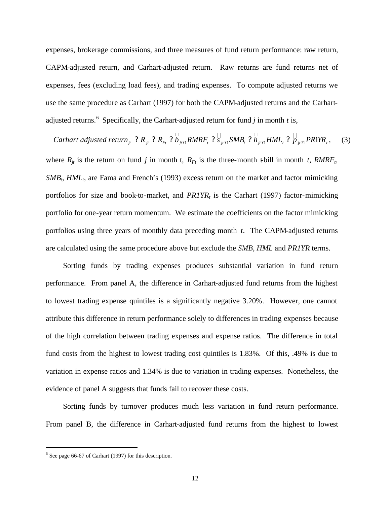expenses, brokerage commissions, and three measures of fund return performance: raw return, CAPM-adjusted return, and Carhart-adjusted return. Raw returns are fund returns net of expenses, fees (excluding load fees), and trading expenses. To compute adjusted returns we use the same procedure as Carhart (1997) for both the CAPM-adjusted returns and the Carhartadjusted returns.<sup>6</sup> Specifically, the Carhart-adjusted return for fund  $j$  in month  $t$  is,

Carhart adjusted return $_{j_t}$  ? R $_{j_t}$  ? R $_{F_t}$  ?  $b_{j_t21}$ RMRF $_t$  ?  $\dot{s}_{j_t21}$ SMB $_t$  ?  $h_{j_t21}$ HML $_t$  ?  $\dot{p}_{j_t21}$ PR1YR $_t$  $\begin{array}{cc} \begin{array}{cc} \mathbf{1} & \mathbf{1} & \mathbf{1} \\ \mathbf{2} & \mathbf{1} & \mathbf{1} \\ \mathbf{2} & \mathbf{1} & \mathbf{1} \end{array} \end{array}$  $(3)$ where  $R_{jt}$  is the return on fund *j* in month *t*,  $R_{Ft}$  is the three-month t-bill in month *t*,  $RMRF_{t}$ *SMB*<sub>*t*</sub>, *HML*<sub>*t*</sub>, are Fama and French's (1993) excess return on the market and factor mimicking portfolios for size and book-to-market, and *PR1YR<sup>t</sup>* is the Carhart (1997) factor-mimicking portfolio for one-year return momentum. We estimate the coefficients on the factor mimicking portfolios using three years of monthly data preceding month *t*. The CAPM-adjusted returns are calculated using the same procedure above but exclude the *SMB, HML* and *PR1YR* terms.

Sorting funds by trading expenses produces substantial variation in fund return performance. From panel A, the difference in Carhart-adjusted fund returns from the highest to lowest trading expense quintiles is a significantly negative 3.20%. However, one cannot attribute this difference in return performance solely to differences in trading expenses because of the high correlation between trading expenses and expense ratios. The difference in total fund costs from the highest to lowest trading cost quintiles is 1.83%. Of this, .49% is due to variation in expense ratios and 1.34% is due to variation in trading expenses. Nonetheless, the evidence of panel A suggests that funds fail to recover these costs.

Sorting funds by turnover produces much less variation in fund return performance. From panel B, the difference in Carhart-adjusted fund returns from the highest to lowest

 $\overline{a}$ 

 $6$  See page 66-67 of Carhart (1997) for this description.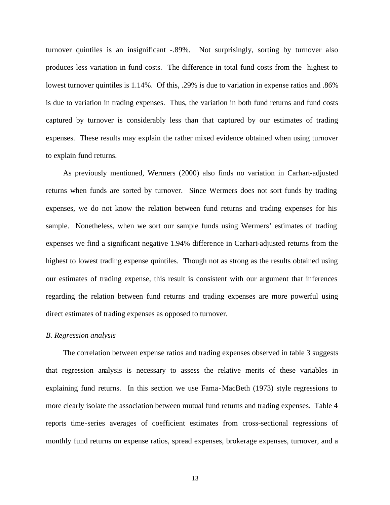turnover quintiles is an insignificant -.89%. Not surprisingly, sorting by turnover also produces less variation in fund costs. The difference in total fund costs from the highest to lowest turnover quintiles is 1.14%. Of this, .29% is due to variation in expense ratios and .86% is due to variation in trading expenses. Thus, the variation in both fund returns and fund costs captured by turnover is considerably less than that captured by our estimates of trading expenses. These results may explain the rather mixed evidence obtained when using turnover to explain fund returns.

As previously mentioned, Wermers (2000) also finds no variation in Carhart-adjusted returns when funds are sorted by turnover. Since Wermers does not sort funds by trading expenses, we do not know the relation between fund returns and trading expenses for his sample. Nonetheless, when we sort our sample funds using Wermers' estimates of trading expenses we find a significant negative 1.94% difference in Carhart-adjusted returns from the highest to lowest trading expense quintiles. Though not as strong as the results obtained using our estimates of trading expense, this result is consistent with our argument that inferences regarding the relation between fund returns and trading expenses are more powerful using direct estimates of trading expenses as opposed to turnover.

#### *B. Regression analysis*

The correlation between expense ratios and trading expenses observed in table 3 suggests that regression analysis is necessary to assess the relative merits of these variables in explaining fund returns. In this section we use Fama-MacBeth (1973) style regressions to more clearly isolate the association between mutual fund returns and trading expenses. Table 4 reports time-series averages of coefficient estimates from cross-sectional regressions of monthly fund returns on expense ratios, spread expenses, brokerage expenses, turnover, and a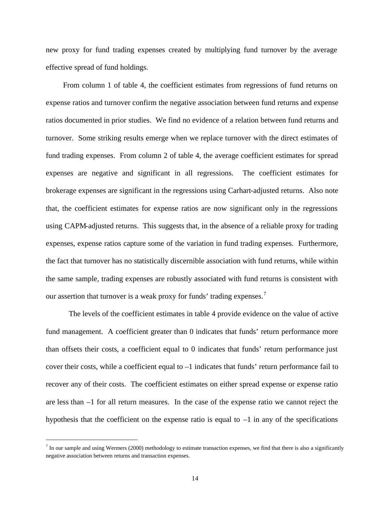new proxy for fund trading expenses created by multiplying fund turnover by the average effective spread of fund holdings.

From column 1 of table 4, the coefficient estimates from regressions of fund returns on expense ratios and turnover confirm the negative association between fund returns and expense ratios documented in prior studies. We find no evidence of a relation between fund returns and turnover. Some striking results emerge when we replace turnover with the direct estimates of fund trading expenses. From column 2 of table 4, the average coefficient estimates for spread expenses are negative and significant in all regressions. The coefficient estimates for brokerage expenses are significant in the regressions using Carhart-adjusted returns. Also note that, the coefficient estimates for expense ratios are now significant only in the regressions using CAPM-adjusted returns. This suggests that, in the absence of a reliable proxy for trading expenses, expense ratios capture some of the variation in fund trading expenses. Furthermore, the fact that turnover has no statistically discernible association with fund returns, while within the same sample, trading expenses are robustly associated with fund returns is consistent with our assertion that turnover is a weak proxy for funds' trading expenses.<sup>7</sup>

The levels of the coefficient estimates in table 4 provide evidence on the value of active fund management. A coefficient greater than 0 indicates that funds' return performance more than offsets their costs, a coefficient equal to 0 indicates that funds' return performance just cover their costs, while a coefficient equal to  $-1$  indicates that funds' return performance fail to recover any of their costs. The coefficient estimates on either spread expense or expense ratio are less than –1 for all return measures. In the case of the expense ratio we cannot reject the hypothesis that the coefficient on the expense ratio is equal to  $-1$  in any of the specifications

 $^7$  In our sample and using Wermers (2000) methodology to estimate transaction expenses, we find that there is also a significantly negative association between returns and transaction expenses.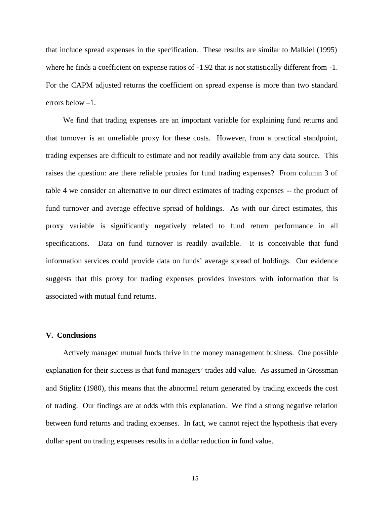that include spread expenses in the specification. These results are similar to Malkiel (1995) where he finds a coefficient on expense ratios of  $-1.92$  that is not statistically different from  $-1$ . For the CAPM adjusted returns the coefficient on spread expense is more than two standard errors below –1.

We find that trading expenses are an important variable for explaining fund returns and that turnover is an unreliable proxy for these costs. However, from a practical standpoint, trading expenses are difficult to estimate and not readily available from any data source. This raises the question: are there reliable proxies for fund trading expenses? From column 3 of table 4 we consider an alternative to our direct estimates of trading expenses -- the product of fund turnover and average effective spread of holdings. As with our direct estimates, this proxy variable is significantly negatively related to fund return performance in all specifications. Data on fund turnover is readily available. It is conceivable that fund information services could provide data on funds' average spread of holdings. Our evidence suggests that this proxy for trading expenses provides investors with information that is associated with mutual fund returns.

# **V. Conclusions**

Actively managed mutual funds thrive in the money management business. One possible explanation for their success is that fund managers' trades add value. As assumed in Grossman and Stiglitz (1980), this means that the abnormal return generated by trading exceeds the cost of trading. Our findings are at odds with this explanation. We find a strong negative relation between fund returns and trading expenses. In fact, we cannot reject the hypothesis that every dollar spent on trading expenses results in a dollar reduction in fund value.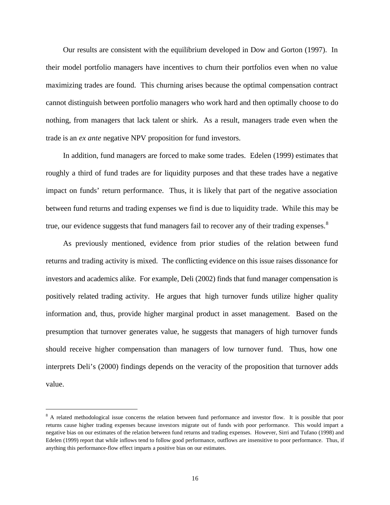Our results are consistent with the equilibrium developed in Dow and Gorton (1997). In their model portfolio managers have incentives to churn their portfolios even when no value maximizing trades are found. This churning arises because the optimal compensation contract cannot distinguish between portfolio managers who work hard and then optimally choose to do nothing, from managers that lack talent or shirk. As a result, managers trade even when the trade is an *ex ante* negative NPV proposition for fund investors.

In addition, fund managers are forced to make some trades. Edelen (1999) estimates that roughly a third of fund trades are for liquidity purposes and that these trades have a negative impact on funds' return performance. Thus, it is likely that part of the negative association between fund returns and trading expenses we find is due to liquidity trade. While this may be true, our evidence suggests that fund managers fail to recover any of their trading expenses. $8$ 

As previously mentioned, evidence from prior studies of the relation between fund returns and trading activity is mixed. The conflicting evidence on this issue raises dissonance for investors and academics alike. For example, Deli (2002) finds that fund manager compensation is positively related trading activity. He argues that high turnover funds utilize higher quality information and, thus, provide higher marginal product in asset management. Based on the presumption that turnover generates value, he suggests that managers of high turnover funds should receive higher compensation than managers of low turnover fund. Thus, how one interprets Deli's (2000) findings depends on the veracity of the proposition that turnover adds value.

<sup>&</sup>lt;sup>8</sup> A related methodological issue concerns the relation between fund performance and investor flow. It is possible that poor returns cause higher trading expenses because investors migrate out of funds with poor performance. This would impart a negative bias on our estimates of the relation between fund returns and trading expenses. However, Sirri and Tufano (1998) and Edelen (1999) report that while inflows tend to follow good performance, outflows are insensitive to poor performance. Thus, if anything this performance-flow effect imparts a positive bias on our estimates.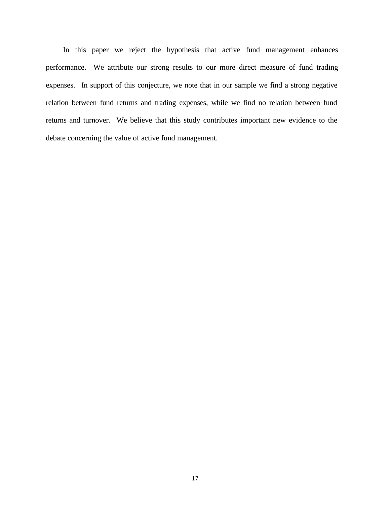In this paper we reject the hypothesis that active fund management enhances performance. We attribute our strong results to our more direct measure of fund trading expenses. In support of this conjecture, we note that in our sample we find a strong negative relation between fund returns and trading expenses, while we find no relation between fund returns and turnover. We believe that this study contributes important new evidence to the debate concerning the value of active fund management.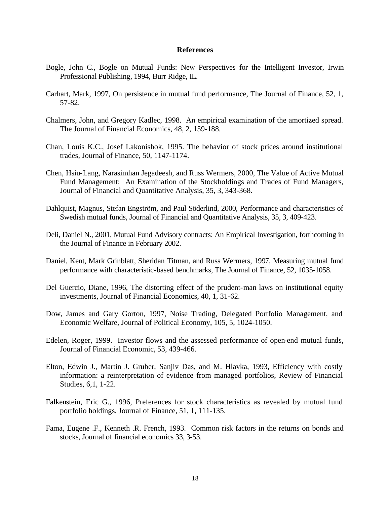# **References**

- Bogle, John C., Bogle on Mutual Funds: New Perspectives for the Intelligent Investor, Irwin Professional Publishing, 1994, Burr Ridge, IL.
- Carhart, Mark, 1997, On persistence in mutual fund performance, The Journal of Finance, 52, 1, 57-82.
- Chalmers, John, and Gregory Kadlec, 1998. An empirical examination of the amortized spread. The Journal of Financial Economics, 48, 2, 159-188.
- Chan, Louis K.C., Josef Lakonishok, 1995. The behavior of stock prices around institutional trades, Journal of Finance, 50, 1147-1174.
- Chen, Hsiu-Lang, Narasimhan Jegadeesh, and Russ Wermers, 2000, The Value of Active Mutual Fund Management: An Examination of the Stockholdings and Trades of Fund Managers, Journal of Financial and Quantitative Analysis, 35, 3, 343-368.
- Dahlquist, Magnus, Stefan Engström, and Paul Söderlind, 2000, Performance and characteristics of Swedish mutual funds, Journal of Financial and Quantitative Analysis, 35, 3, 409-423.
- Deli, Daniel N., 2001, Mutual Fund Advisory contracts: An Empirical Investigation, forthcoming in the Journal of Finance in February 2002.
- Daniel, Kent, Mark Grinblatt, Sheridan Titman, and Russ Wermers, 1997, Measuring mutual fund performance with characteristic-based benchmarks, The Journal of Finance, 52, 1035-1058.
- Del Guercio, Diane, 1996, The distorting effect of the prudent-man laws on institutional equity investments, Journal of Financial Economics, 40, 1, 31-62.
- Dow, James and Gary Gorton, 1997, Noise Trading, Delegated Portfolio Management, and Economic Welfare, Journal of Political Economy, 105, 5, 1024-1050.
- Edelen, Roger, 1999. Investor flows and the assessed performance of open-end mutual funds, Journal of Financial Economic, 53, 439-466.
- Elton, Edwin J., Martin J. Gruber, Sanjiv Das, and M. Hlavka, 1993, Efficiency with costly information: a reinterpretation of evidence from managed portfolios, Review of Financial Studies, 6,1, 1-22.
- Falkenstein, Eric G., 1996, Preferences for stock characteristics as revealed by mutual fund portfolio holdings, Journal of Finance, 51, 1, 111-135.
- Fama, Eugene .F., Kenneth .R. French, 1993. Common risk factors in the returns on bonds and stocks, Journal of financial economics 33, 3-53.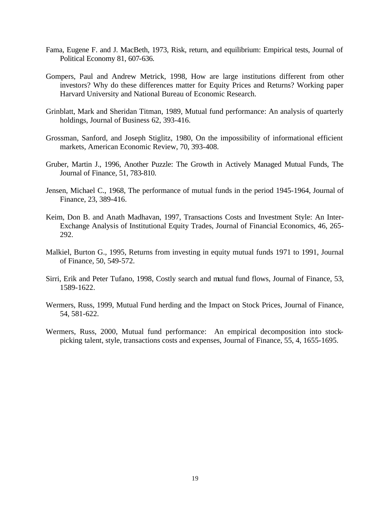- Fama, Eugene F. and J. MacBeth, 1973, Risk, return, and equilibrium: Empirical tests, Journal of Political Economy 81, 607-636.
- Gompers, Paul and Andrew Metrick, 1998, How are large institutions different from other investors? Why do these differences matter for Equity Prices and Returns? Working paper Harvard University and National Bureau of Economic Research.
- Grinblatt, Mark and Sheridan Titman, 1989, Mutual fund performance: An analysis of quarterly holdings, Journal of Business 62, 393-416.
- Grossman, Sanford, and Joseph Stiglitz, 1980, On the impossibility of informational efficient markets, American Economic Review, 70, 393-408.
- Gruber, Martin J., 1996, Another Puzzle: The Growth in Actively Managed Mutual Funds, The Journal of Finance, 51, 783-810.
- Jensen, Michael C., 1968, The performance of mutual funds in the period 1945-1964, Journal of Finance, 23, 389-416.
- Keim, Don B. and Anath Madhavan, 1997, Transactions Costs and Investment Style: An Inter-Exchange Analysis of Institutional Equity Trades, Journal of Financial Economics, 46, 265- 292.
- Malkiel, Burton G., 1995, Returns from investing in equity mutual funds 1971 to 1991, Journal of Finance, 50, 549-572.
- Sirri, Erik and Peter Tufano, 1998, Costly search and mutual fund flows, Journal of Finance, 53, 1589-1622.
- Wermers, Russ, 1999, Mutual Fund herding and the Impact on Stock Prices, Journal of Finance, 54, 581-622.
- Wermers, Russ, 2000, Mutual fund performance: An empirical decomposition into stockpicking talent, style, transactions costs and expenses, Journal of Finance, 55, 4, 1655-1695.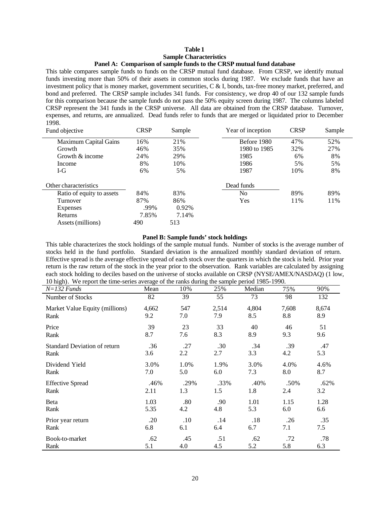## **Table 1 Sample Characteristics Panel A: Comparison of sample funds to the CRSP mutual fund database**

This table compares sample funds to funds on the CRSP mutual fund database. From CRSP, we identify mutual funds investing more than 50% of their assets in common stocks during 1987. We exclude funds that have an investment policy that is money market, government securities, C & I, bonds, tax-free money market, preferred, and bond and preferred. The CRSP sample includes 341 funds. For consistency, we drop 40 of our 132 sample funds for this comparison because the sample funds do not pass the 50% equity screen during 1987. The columns labeled CRSP represent the 341 funds in the CRSP universe. All data are obtained from the CRSP database. Turnover, expenses, and returns, are annualized. Dead funds refer to funds that are merged or liquidated prior to December 1998.

| Fund objective               | CRSP  | Sample | Year of inception | <b>CRSP</b> | Sample |
|------------------------------|-------|--------|-------------------|-------------|--------|
| <b>Maximum Capital Gains</b> | 16%   | 21%    | Before 1980       | 47%         | 52%    |
| Growth                       | 46%   | 35%    | 1980 to 1985      | 32%         | 27%    |
| Growth $&$ income            | 24%   | 29%    | 1985              | 6%          | 8%     |
| Income                       | 8%    | 10%    | 1986              | 5%          | 5%     |
| I-G                          | 6%    | 5%     | 1987              | 10%         | 8%     |
| Other characteristics        |       |        | Dead funds        |             |        |
| Ratio of equity to assets    | 84%   | 83%    | No                | 89%         | 89%    |
| Turnover                     | 87%   | 86%    | Yes               | 11%         | 11%    |
| Expenses                     | .99%  | 0.92%  |                   |             |        |
| Returns                      | 7.85% | 7.14%  |                   |             |        |
| Assets (millions)            | 490   | 513    |                   |             |        |

#### **Panel B: Sample funds' stock holdings**

This table characterizes the stock holdings of the sample mutual funds. Number of stocks is the average number of stocks held in the fund portfolio. Standard deviation is the annualized monthly standard deviation of return. Effective spread is the average effective spread of each stock over the quarters in which the stock is held. Prior year return is the raw return of the stock in the year prior to the observation. Rank variables are calculated by assigning each stock holding to deciles based on the universe of stocks available on CRSP (NYSE/AMEX/NASDAQ) (1 low, 10 high). We report the time-series average of the ranks during the sample period 1985-1990.

| $\sqrt{ }$<br>$N=132$ Funds         | $\circ$<br>Mean | 10%     | o<br>25% | Median | 75%   | 90%   |
|-------------------------------------|-----------------|---------|----------|--------|-------|-------|
| Number of Stocks                    | 82              | 39      | 55       | 73     | 98    | 132   |
| Market Value Equity (millions)      | 4,662           | 547     | 2,514    | 4,804  | 7,608 | 8,674 |
| Rank                                | 9.2             | 7.0     | 7.9      | 8.5    | 8.8   | 8.9   |
| Price                               | 39              | 23      | 33       | 40     | 46    | 51    |
| Rank                                | 8.7             | 7.6     | 8.3      | 8.9    | 9.3   | 9.6   |
| <b>Standard Deviation of return</b> | .36             | .27     | .30      | .34    | .39   | .47   |
| Rank                                | 3.6             | 2.2     | 2.7      | 3.3    | 4.2   | 5.3   |
| Dividend Yield                      | 3.0%            | 1.0%    | 1.9%     | 3.0%   | 4.0%  | 4.6%  |
| Rank                                | 7.0             | 5.0     | 6.0      | 7.3    | 8.0   | 8.7   |
| <b>Effective Spread</b>             | .46%            | .29%    | .33%     | .40%   | .50%  | .62%  |
| Rank                                | 2.11            | 1.3     | 1.5      | 1.8    | 2.4   | 3.2   |
| Beta                                | 1.03            | .80     | .90      | 1.01   | 1.15  | 1.28  |
| Rank                                | 5.35            | 4.2     | 4.8      | 5.3    | 6.0   | 6.6   |
| Prior year return                   | .20             | $.10\,$ | .14      | .18    | .26   | .35   |
| Rank                                | 6.8             | 6.1     | 6.4      | 6.7    | 7.1   | 7.5   |
| Book-to-market                      | .62             | .45     | .51      | .62    | .72   | .78   |
| Rank                                | 5.1             | 4.0     | 4.5      | 5.2    | 5.8   | 6.3   |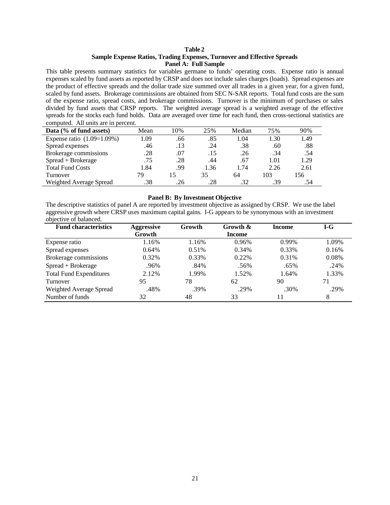## **Table 2 Sample Expense Ratios, Trading Expenses, Turnover and Effective Spreads Panel A: Full Sample**

This table presents summary statistics for variables germane to funds' operating costs. Expense ratio is annual expenses scaled by fund assets as reported by CRSP and does not include sales charges (loads). Spread expenses are the product of effective spreads and the dollar trade size summed over all trades in a given year, for a given fund, scaled by fund assets. Brokerage commissions are obtained from SEC N-SAR reports. Total fund costs are the sum of the expense ratio, spread costs, and brokerage commissions. Turnover is the minimum of purchases or sales divided by fund assets that CRSP reports. The weighted average spread is a weighted average of the effective spreads for the stocks each fund holds. Data are averaged over time for each fund, then cross-sectional statistics are computed. All units are in percent.

| Data (% of fund assets)      | Mean | 10% | 25%  | Median | 75%  | 90%  |
|------------------------------|------|-----|------|--------|------|------|
|                              |      |     |      |        |      |      |
| Expense ratio $(1.09=1.09%)$ | 1.09 | .66 | .85  | 1.04   | 1.30 | 1.49 |
| Spread expenses              | .46  | .13 | .24  | .38    | .60  | .88  |
| Brokerage commissions        | .28  | .07 | .15  | .26    | .34  | .54  |
| Spread + Brokerage           | .75  | .28 | .44  | .67    | 1.01 | 1.29 |
| <b>Total Fund Costs</b>      | 1.84 | .99 | 1.36 | 1.74   | 2.26 | 2.61 |
| Turnover                     | 79   | 15  | 35   | 64     | 103  | 156  |
| Weighted Average Spread      | .38  | .26 | .28  | .32    | .39  | .54  |

#### **Panel B: By Investment Objective**

The descriptive statistics of panel A are reported by investment objective as assigned by CRSP. We use the label aggressive growth where CRSP uses maximum capital gains. I-G appears to be synonymous with an investment objective of balanced.

| <b>Fund characteristics</b>    | <b>Aggressive</b> | Growth | Growth &      | Income | $I-G$ |
|--------------------------------|-------------------|--------|---------------|--------|-------|
|                                | Growth            |        | <b>Income</b> |        |       |
| Expense ratio                  | 1.16%             | 1.16%  | 0.96%         | 0.99%  | 1.09% |
| Spread expenses                | 0.64%             | 0.51%  | 0.34%         | 0.33%  | 0.16% |
| Brokerage commissions          | 0.32%             | 0.33%  | $0.22\%$      | 0.31%  | 0.08% |
| Spread + Brokerage             | .96%              | .84%   | .56%          | .65%   | .24%  |
| <b>Total Fund Expenditures</b> | 2.12%             | 1.99%  | 1.52%         | 1.64%  | 1.33% |
| Turnover                       | 95                | 78     | 62            | 90     | 71    |
| Weighted Average Spread        | .48%              | .39%   | .29%          | .30%   | .29%  |
| Number of funds                | 32                | 48     | 33            |        | 8     |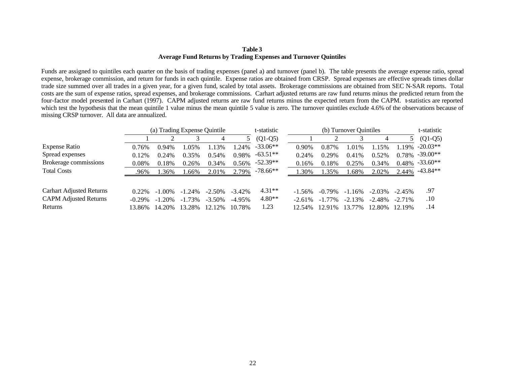#### **Table 3 Average Fund Returns by Trading Expenses and Turnover Quintiles**

Funds are assigned to quintiles each quarter on the basis of trading expenses (panel a) and turnover (panel b). The table presents the average expense ratio, spread expense, brokerage commission, and return for funds in each quintile. Expense ratios are obtained from CRSP. Spread expenses are effective spreads times dollar trade size summed over all trades in a given year, for a given fund, scaled by total assets. Brokerage commissions are obtained from SEC N-SAR reports. Total costs are the sum of expense ratios, spread expenses, and brokerage commissions. Carhart adjusted returns are raw fund returns minus the predicted return from the four-factor model presented in Carhart (1997). CAPM adjusted returns are raw fund returns minus the expected return from the CAPM. t-statistics are reported which test the hypothesis that the mean quintile 1 value minus the mean quintile 5 value is zero. The turnover quintiles exclude 4.6% of the observations because of missing CRSP turnover. All data are annualized.

|                              | (a) Trading Expense Quintile |           |           |           | t-statistic | (b) Turnover Quintiles |           |           |           |           | t-statistic |            |
|------------------------------|------------------------------|-----------|-----------|-----------|-------------|------------------------|-----------|-----------|-----------|-----------|-------------|------------|
|                              |                              |           |           |           |             | $(Q1-Q5)$              |           |           |           |           |             | $(Q1-Q5)$  |
| Expense Ratio                | 0.76%                        | 0.94%     | 1.05%     | 1.13%     | $1.24\%$    | $-33.06**$             | $0.90\%$  | 0.87%     | 1.01%     | 1.15%     | 1.19%       | $-20.03**$ |
| Spread expenses              | 0.12%                        | 0.24%     | 0.35%     | 0.54%     | 0.98%       | $-63.51**$             | 0.24%     | 0.29%     | 0.41%     | 0.52%     | 0.78%       | $-39.00**$ |
| Brokerage commissions        | $0.08\%$                     | 0.18%     | 0.26%     | 0.34%     | 0.56%       | $-52.39**$             | 0.16%     | 0.18%     | 0.25%     | 0.34%     | 0.48%       | $-33.60**$ |
| <b>Total Costs</b>           | .96%                         | 1.36%     | 1.66%     | 2.01%     | 2.79%       | $-78.66**$             | 1.30%     | 1.35%     | 1.68%     | 2.02%     | 2.44%       | -43.84**   |
| Carhart Adjusted Returns     | $0.22\%$                     | $-1.00\%$ | $-1.24\%$ | $-2.50\%$ | $-3.42\%$   | $4.31**$               | $-1.56\%$ | $-0.79\%$ | $-1.16\%$ | $-2.03\%$ | $-2.45\%$   | .97        |
| <b>CAPM Adjusted Returns</b> | $-0.29\%$                    | $-1.20%$  | $-1.73\%$ | $-3.50\%$ | $-4.95\%$   | $4.80**$               | $-2.61\%$ | $-1.77\%$ | $-2.13%$  | $-2.48%$  | $-2.71\%$   | .10        |
| Returns                      | 13.86%                       | 14.20%    | 13.28%    | 12.12%    | 10.78%      | 1.23                   | 12.54%    | 12.91%    | 13.77%    | 12.80%    | 12.19%      | .14        |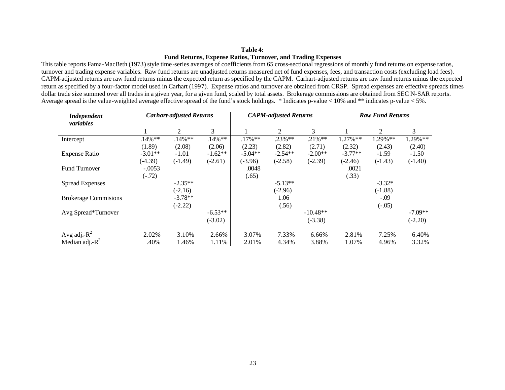## **Table 4: Fund Returns, Expense Ratios, Turnover, and Trading Expenses**

This table reports Fama-MacBeth (1973) style time-series averages of coefficients from 65 cross-sectional regressions of monthly fund returns on expense ratios, turnover and trading expense variables. Raw fund returns are unadjusted returns measured net of fund expenses, fees, and transaction costs (excluding load fees). CAPM-adjusted returns are raw fund returns minus the expected return as specified by the CAPM. Carhart-adjusted returns are raw fund returns minus the expected return as specified by a four-factor model used in Carhart (1997). Expense ratios and turnover are obtained from CRSP. Spread expenses are effective spreads times dollar trade size summed over all trades in a given year, for a given fund, scaled by total assets. Brokerage commissions are obtained from SEC N-SAR reports. Average spread is the value-weighted average effective spread of the fund's stock holdings. \* Indicates p-value < 10% and \*\* indicates p-value < 5%.

| <b>Independent</b>           |           | <b>Carhart-adjusted Returns</b> |           | <b>CAPM-adjusted Returns</b> |                |            | <b>Raw Fund Returns</b> |                |           |  |
|------------------------------|-----------|---------------------------------|-----------|------------------------------|----------------|------------|-------------------------|----------------|-----------|--|
| variables                    |           | $\mathfrak{D}$                  | 3         |                              | $\mathfrak{D}$ | 3          |                         | $\mathfrak{D}$ | 3         |  |
|                              |           |                                 |           |                              |                |            |                         |                |           |  |
| Intercept                    | $.14\%**$ | $.14\%**$                       | $.14\%**$ | $.17\%**$                    | $.23\%**$      | $.21\%**$  | 1.27%**                 | 1.29%**        | 1.29%**   |  |
|                              | (1.89)    | (2.08)                          | (2.06)    | (2.23)                       | (2.82)         | (2.71)     | (2.32)                  | (2.43)         | (2.40)    |  |
| <b>Expense Ratio</b>         | $-3.01**$ | $-1.01$                         | $-1.62**$ | $-5.04**$                    | $-2.54**$      | $-2.00**$  | $-3.77**$               | $-1.59$        | $-1.50$   |  |
|                              | $(-4.39)$ | $(-1.49)$                       | $(-2.61)$ | $(-3.96)$                    | $(-2.58)$      | $(-2.39)$  | $(-2.46)$               | $(-1.43)$      | $(-1.40)$ |  |
| <b>Fund Turnover</b>         | $-.0053$  |                                 |           | .0048                        |                |            | .0021                   |                |           |  |
|                              | $(-.72)$  |                                 |           | (.65)                        |                |            | (.33)                   |                |           |  |
| <b>Spread Expenses</b>       |           | $-2.35**$                       |           |                              | $-5.13**$      |            |                         | $-3.32*$       |           |  |
|                              |           | $(-2.16)$                       |           |                              | $(-2.96)$      |            |                         | $(-1.88)$      |           |  |
| <b>Brokerage Commissions</b> |           | $-3.78**$                       |           |                              | 1.06           |            |                         | $-.09$         |           |  |
|                              |           | $(-2.22)$                       |           |                              | (.56)          |            |                         | $(-.05)$       |           |  |
| Avg Spread*Turnover          |           |                                 | $-6.53**$ |                              |                | $-10.48**$ |                         |                | $-7.09**$ |  |
|                              |           |                                 | $(-3.02)$ |                              |                | $(-3.38)$  |                         |                | $(-2.20)$ |  |
| Avg adj.- $R^2$              | 2.02%     | 3.10%                           | 2.66%     | 3.07%                        | 7.33%          | 6.66%      | 2.81%                   | 7.25%          | 6.40%     |  |
| Median adj.- $R^2$           | .40%      | 1.46%                           | 1.11%     | 2.01%                        | 4.34%          | 3.88%      | 1.07%                   | 4.96%          | 3.32%     |  |